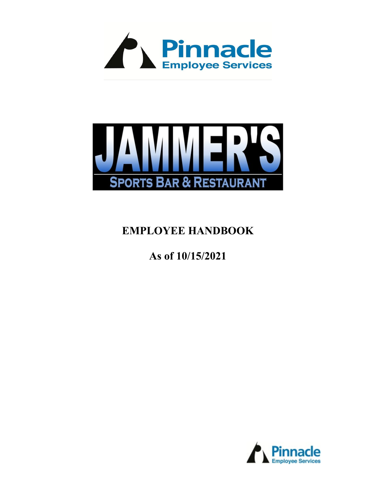



## **EMPLOYEE HANDBOOK**

# **As of 10/15/2021**

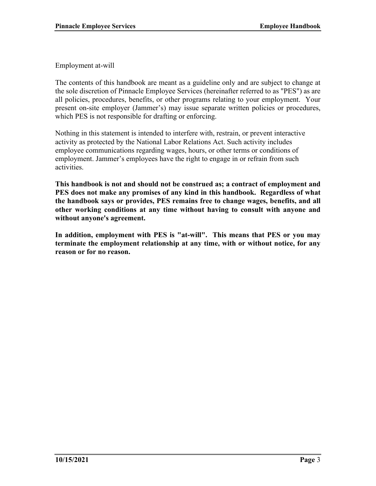Employment at-will

The contents of this handbook are meant as a guideline only and are subject to change at the sole discretion of Pinnacle Employee Services (hereinafter referred to as "PES") as are all policies, procedures, benefits, or other programs relating to your employment. Your present on-site employer (Jammer's) may issue separate written policies or procedures, which PES is not responsible for drafting or enforcing.

Nothing in this statement is intended to interfere with, restrain, or prevent interactive activity as protected by the National Labor Relations Act. Such activity includes employee communications regarding wages, hours, or other terms or conditions of employment. Jammer's employees have the right to engage in or refrain from such activities.

**This handbook is not and should not be construed as; a contract of employment and PES does not make any promises of any kind in this handbook. Regardless of what the handbook says or provides, PES remains free to change wages, benefits, and all other working conditions at any time without having to consult with anyone and without anyone's agreement.**

**In addition, employment with PES is "at-will". This means that PES or you may terminate the employment relationship at any time, with or without notice, for any reason or for no reason.**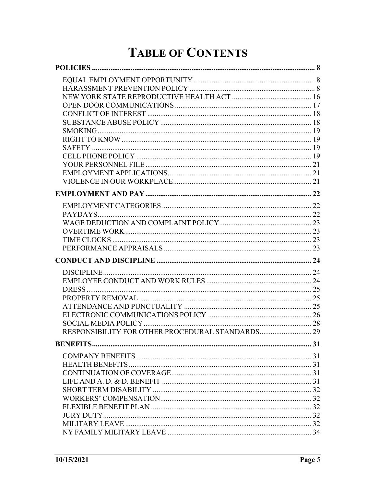# **TABLE OF CONTENTS**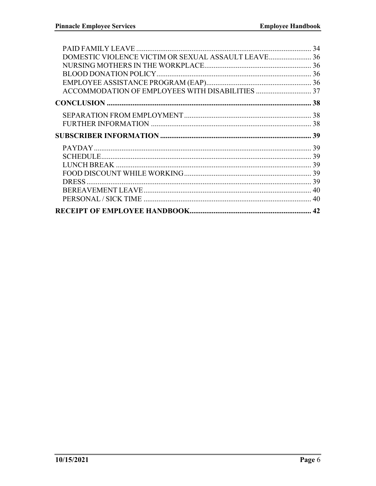| DOMESTIC VIOLENCE VICTIM OR SEXUAL ASSAULT LEAVE 36 |  |
|-----------------------------------------------------|--|
|                                                     |  |
|                                                     |  |
|                                                     |  |
|                                                     |  |
|                                                     |  |
|                                                     |  |
|                                                     |  |
|                                                     |  |
|                                                     |  |
|                                                     |  |
|                                                     |  |
|                                                     |  |
|                                                     |  |
|                                                     |  |
|                                                     |  |
|                                                     |  |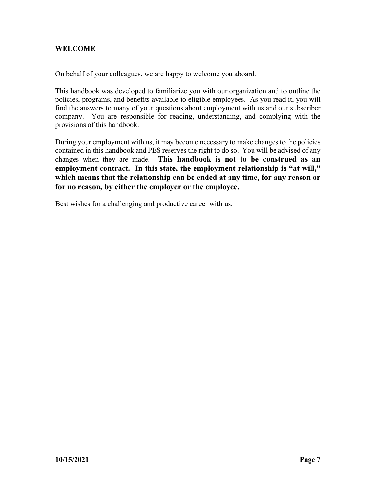## **WELCOME**

On behalf of your colleagues, we are happy to welcome you aboard.

This handbook was developed to familiarize you with our organization and to outline the policies, programs, and benefits available to eligible employees. As you read it, you will find the answers to many of your questions about employment with us and our subscriber company. You are responsible for reading, understanding, and complying with the provisions of this handbook.

During your employment with us, it may become necessary to make changes to the policies contained in this handbook and PES reserves the right to do so. You will be advised of any changes when they are made. **This handbook is not to be construed as an employment contract. In this state, the employment relationship is "at will," which means that the relationship can be ended at any time, for any reason or for no reason, by either the employer or the employee.** 

Best wishes for a challenging and productive career with us.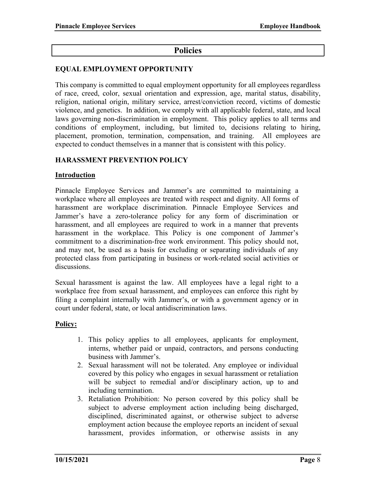## **Policies**

## **EQUAL EMPLOYMENT OPPORTUNITY**

This company is committed to equal employment opportunity for all employees regardless of race, creed, color, sexual orientation and expression, age, marital status, disability, religion, national origin, military service, arrest/conviction record, victims of domestic violence, and genetics. In addition, we comply with all applicable federal, state, and local laws governing non-discrimination in employment. This policy applies to all terms and conditions of employment, including, but limited to, decisions relating to hiring, placement, promotion, termination, compensation, and training. All employees are expected to conduct themselves in a manner that is consistent with this policy.

## **HARASSMENT PREVENTION POLICY**

#### **Introduction**

Pinnacle Employee Services and Jammer's are committed to maintaining a workplace where all employees are treated with respect and dignity. All forms of harassment are workplace discrimination. Pinnacle Employee Services and Jammer's have a zero-tolerance policy for any form of discrimination or harassment, and all employees are required to work in a manner that prevents harassment in the workplace. This Policy is one component of Jammer's commitment to a discrimination-free work environment. This policy should not, and may not, be used as a basis for excluding or separating individuals of any protected class from participating in business or work-related social activities or discussions.

Sexual harassment is against the law. All employees have a legal right to a workplace free from sexual harassment, and employees can enforce this right by filing a complaint internally with Jammer's, or with a government agency or in court under federal, state, or local antidiscrimination laws.

## **Policy:**

- 1. This policy applies to all employees, applicants for employment, interns, whether paid or unpaid, contractors, and persons conducting business with Jammer's.
- 2. Sexual harassment will not be tolerated. Any employee or individual covered by this policy who engages in sexual harassment or retaliation will be subject to remedial and/or disciplinary action, up to and including termination.
- 3. Retaliation Prohibition: No person covered by this policy shall be subject to adverse employment action including being discharged, disciplined, discriminated against, or otherwise subject to adverse employment action because the employee reports an incident of sexual harassment, provides information, or otherwise assists in any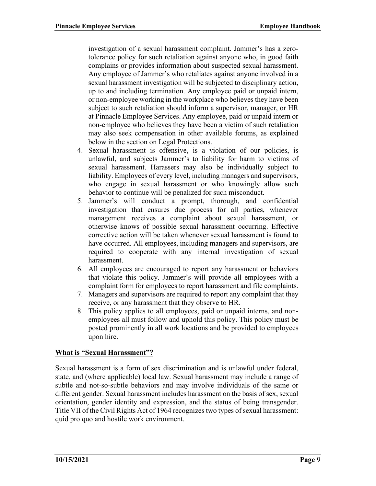investigation of a sexual harassment complaint. Jammer's has a zerotolerance policy for such retaliation against anyone who, in good faith complains or provides information about suspected sexual harassment. Any employee of Jammer's who retaliates against anyone involved in a sexual harassment investigation will be subjected to disciplinary action, up to and including termination. Any employee paid or unpaid intern, or non-employee working in the workplace who believes they have been subject to such retaliation should inform a supervisor, manager, or HR at Pinnacle Employee Services. Any employee, paid or unpaid intern or non-employee who believes they have been a victim of such retaliation may also seek compensation in other available forums, as explained below in the section on Legal Protections.

- 4. Sexual harassment is offensive, is a violation of our policies, is unlawful, and subjects Jammer's to liability for harm to victims of sexual harassment. Harassers may also be individually subject to liability. Employees of every level, including managers and supervisors, who engage in sexual harassment or who knowingly allow such behavior to continue will be penalized for such misconduct.
- 5. Jammer's will conduct a prompt, thorough, and confidential investigation that ensures due process for all parties, whenever management receives a complaint about sexual harassment, or otherwise knows of possible sexual harassment occurring. Effective corrective action will be taken whenever sexual harassment is found to have occurred. All employees, including managers and supervisors, are required to cooperate with any internal investigation of sexual harassment.
- 6. All employees are encouraged to report any harassment or behaviors that violate this policy. Jammer's will provide all employees with a complaint form for employees to report harassment and file complaints.
- 7. Managers and supervisors are required to report any complaint that they receive, or any harassment that they observe to HR.
- 8. This policy applies to all employees, paid or unpaid interns, and nonemployees all must follow and uphold this policy. This policy must be posted prominently in all work locations and be provided to employees upon hire.

## **What is "Sexual Harassment"?**

Sexual harassment is a form of sex discrimination and is unlawful under federal, state, and (where applicable) local law. Sexual harassment may include a range of subtle and not-so-subtle behaviors and may involve individuals of the same or different gender. Sexual harassment includes harassment on the basis of sex, sexual orientation, gender identity and expression, and the status of being transgender. Title VII of the Civil Rights Act of 1964 recognizes two types of sexual harassment: quid pro quo and hostile work environment.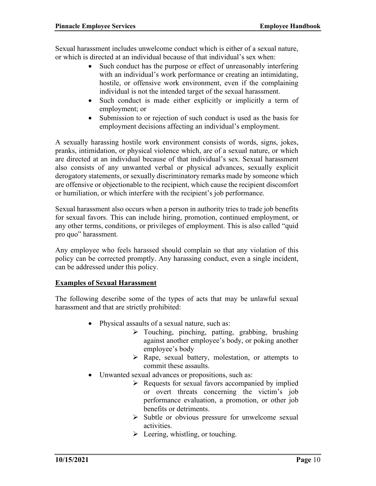Sexual harassment includes unwelcome conduct which is either of a sexual nature, or which is directed at an individual because of that individual's sex when:

- Such conduct has the purpose or effect of unreasonably interfering with an individual's work performance or creating an intimidating, hostile, or offensive work environment, even if the complaining individual is not the intended target of the sexual harassment.
- Such conduct is made either explicitly or implicitly a term of employment; or
- Submission to or rejection of such conduct is used as the basis for employment decisions affecting an individual's employment.

A sexually harassing hostile work environment consists of words, signs, jokes, pranks, intimidation, or physical violence which, are of a sexual nature, or which are directed at an individual because of that individual's sex. Sexual harassment also consists of any unwanted verbal or physical advances, sexually explicit derogatory statements, or sexually discriminatory remarks made by someone which are offensive or objectionable to the recipient, which cause the recipient discomfort or humiliation, or which interfere with the recipient's job performance.

Sexual harassment also occurs when a person in authority tries to trade job benefits for sexual favors. This can include hiring, promotion, continued employment, or any other terms, conditions, or privileges of employment. This is also called "quid pro quo" harassment.

Any employee who feels harassed should complain so that any violation of this policy can be corrected promptly. Any harassing conduct, even a single incident, can be addressed under this policy.

## **Examples of Sexual Harassment**

The following describe some of the types of acts that may be unlawful sexual harassment and that are strictly prohibited:

- Physical assaults of a sexual nature, such as:
	- $\triangleright$  Touching, pinching, patting, grabbing, brushing against another employee's body, or poking another employee's body
	- $\triangleright$  Rape, sexual battery, molestation, or attempts to commit these assaults.
- Unwanted sexual advances or propositions, such as:
	- $\triangleright$  Requests for sexual favors accompanied by implied or overt threats concerning the victim's job performance evaluation, a promotion, or other job benefits or detriments.
	- $\triangleright$  Subtle or obvious pressure for unwelcome sexual activities.
	- $\triangleright$  Leering, whistling, or touching.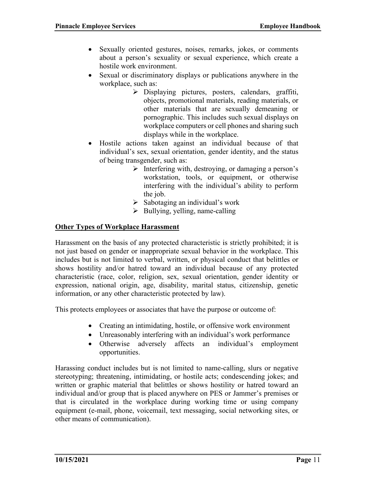- Sexually oriented gestures, noises, remarks, jokes, or comments about a person's sexuality or sexual experience, which create a hostile work environment.
- Sexual or discriminatory displays or publications anywhere in the workplace, such as:
	- $\triangleright$  Displaying pictures, posters, calendars, graffiti, objects, promotional materials, reading materials, or other materials that are sexually demeaning or pornographic. This includes such sexual displays on workplace computers or cell phones and sharing such displays while in the workplace.
- Hostile actions taken against an individual because of that individual's sex, sexual orientation, gender identity, and the status of being transgender, such as:
	- $\triangleright$  Interfering with, destroying, or damaging a person's workstation, tools, or equipment, or otherwise interfering with the individual's ability to perform the job.
	- $\triangleright$  Sabotaging an individual's work
	- $\triangleright$  Bullying, yelling, name-calling

#### **Other Types of Workplace Harassment**

Harassment on the basis of any protected characteristic is strictly prohibited; it is not just based on gender or inappropriate sexual behavior in the workplace. This includes but is not limited to verbal, written, or physical conduct that belittles or shows hostility and/or hatred toward an individual because of any protected characteristic (race, color, religion, sex, sexual orientation, gender identity or expression, national origin, age, disability, marital status, citizenship, genetic information, or any other characteristic protected by law).

This protects employees or associates that have the purpose or outcome of:

- Creating an intimidating, hostile, or offensive work environment
- Unreasonably interfering with an individual's work performance
- Otherwise adversely affects an individual's employment opportunities.

Harassing conduct includes but is not limited to name-calling, slurs or negative stereotyping; threatening, intimidating, or hostile acts; condescending jokes; and written or graphic material that belittles or shows hostility or hatred toward an individual and/or group that is placed anywhere on PES or Jammer's premises or that is circulated in the workplace during working time or using company equipment (e-mail, phone, voicemail, text messaging, social networking sites, or other means of communication).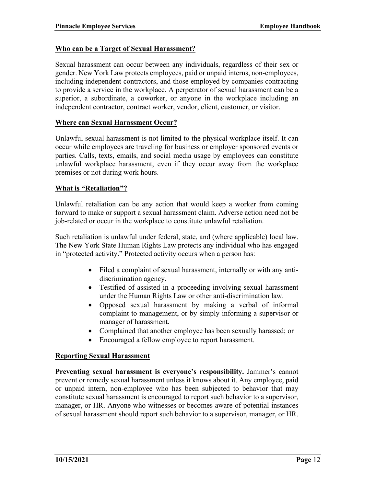#### **Who can be a Target of Sexual Harassment?**

Sexual harassment can occur between any individuals, regardless of their sex or gender. New York Law protects employees, paid or unpaid interns, non-employees, including independent contractors, and those employed by companies contracting to provide a service in the workplace. A perpetrator of sexual harassment can be a superior, a subordinate, a coworker, or anyone in the workplace including an independent contractor, contract worker, vendor, client, customer, or visitor.

#### **Where can Sexual Harassment Occur?**

Unlawful sexual harassment is not limited to the physical workplace itself. It can occur while employees are traveling for business or employer sponsored events or parties. Calls, texts, emails, and social media usage by employees can constitute unlawful workplace harassment, even if they occur away from the workplace premises or not during work hours.

#### **What is "Retaliation"?**

Unlawful retaliation can be any action that would keep a worker from coming forward to make or support a sexual harassment claim. Adverse action need not be job-related or occur in the workplace to constitute unlawful retaliation.

Such retaliation is unlawful under federal, state, and (where applicable) local law. The New York State Human Rights Law protects any individual who has engaged in "protected activity." Protected activity occurs when a person has:

- Filed a complaint of sexual harassment, internally or with any antidiscrimination agency.
- Testified of assisted in a proceeding involving sexual harassment under the Human Rights Law or other anti-discrimination law.
- Opposed sexual harassment by making a verbal of informal complaint to management, or by simply informing a supervisor or manager of harassment.
- Complained that another employee has been sexually harassed; or
- Encouraged a fellow employee to report harassment.

## **Reporting Sexual Harassment**

**Preventing sexual harassment is everyone's responsibility.** Jammer's cannot prevent or remedy sexual harassment unless it knows about it. Any employee, paid or unpaid intern, non-employee who has been subjected to behavior that may constitute sexual harassment is encouraged to report such behavior to a supervisor, manager, or HR. Anyone who witnesses or becomes aware of potential instances of sexual harassment should report such behavior to a supervisor, manager, or HR.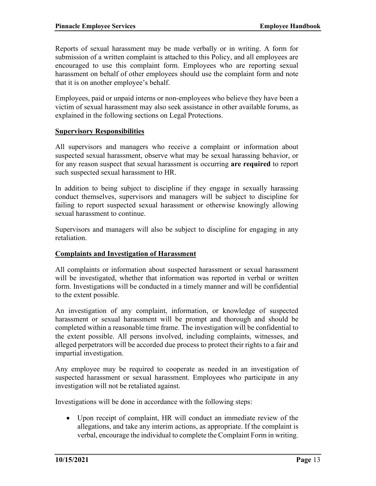Reports of sexual harassment may be made verbally or in writing. A form for submission of a written complaint is attached to this Policy, and all employees are encouraged to use this complaint form. Employees who are reporting sexual harassment on behalf of other employees should use the complaint form and note that it is on another employee's behalf.

Employees, paid or unpaid interns or non-employees who believe they have been a victim of sexual harassment may also seek assistance in other available forums, as explained in the following sections on Legal Protections.

#### **Supervisory Responsibilities**

All supervisors and managers who receive a complaint or information about suspected sexual harassment, observe what may be sexual harassing behavior, or for any reason suspect that sexual harassment is occurring **are required** to report such suspected sexual harassment to HR.

In addition to being subject to discipline if they engage in sexually harassing conduct themselves, supervisors and managers will be subject to discipline for failing to report suspected sexual harassment or otherwise knowingly allowing sexual harassment to continue.

Supervisors and managers will also be subject to discipline for engaging in any retaliation.

#### **Complaints and Investigation of Harassment**

All complaints or information about suspected harassment or sexual harassment will be investigated, whether that information was reported in verbal or written form. Investigations will be conducted in a timely manner and will be confidential to the extent possible.

An investigation of any complaint, information, or knowledge of suspected harassment or sexual harassment will be prompt and thorough and should be completed within a reasonable time frame. The investigation will be confidential to the extent possible. All persons involved, including complaints, witnesses, and alleged perpetrators will be accorded due process to protect their rights to a fair and impartial investigation.

Any employee may be required to cooperate as needed in an investigation of suspected harassment or sexual harassment. Employees who participate in any investigation will not be retaliated against.

Investigations will be done in accordance with the following steps:

• Upon receipt of complaint, HR will conduct an immediate review of the allegations, and take any interim actions, as appropriate. If the complaint is verbal, encourage the individual to complete the Complaint Form in writing.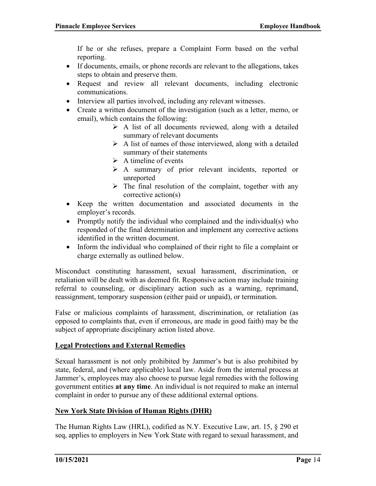If he or she refuses, prepare a Complaint Form based on the verbal reporting.

- If documents, emails, or phone records are relevant to the allegations, takes steps to obtain and preserve them.
- Request and review all relevant documents, including electronic communications.
- Interview all parties involved, including any relevant witnesses.
- Create a written document of the investigation (such as a letter, memo, or email), which contains the following:
	- $\triangleright$  A list of all documents reviewed, along with a detailed summary of relevant documents
	- $\triangleright$  A list of names of those interviewed, along with a detailed summary of their statements
	- $\triangleright$  A timeline of events
	- A summary of prior relevant incidents, reported or unreported
	- $\triangleright$  The final resolution of the complaint, together with any corrective action(s)
- Keep the written documentation and associated documents in the employer's records.
- Promptly notify the individual who complained and the individual(s) who responded of the final determination and implement any corrective actions identified in the written document.
- Inform the individual who complained of their right to file a complaint or charge externally as outlined below.

Misconduct constituting harassment, sexual harassment, discrimination, or retaliation will be dealt with as deemed fit. Responsive action may include training referral to counseling, or disciplinary action such as a warning, reprimand, reassignment, temporary suspension (either paid or unpaid), or termination.

False or malicious complaints of harassment, discrimination, or retaliation (as opposed to complaints that, even if erroneous, are made in good faith) may be the subject of appropriate disciplinary action listed above.

## **Legal Protections and External Remedies**

Sexual harassment is not only prohibited by Jammer's but is also prohibited by state, federal, and (where applicable) local law. Aside from the internal process at Jammer's, employees may also choose to pursue legal remedies with the following government entities **at any time**. An individual is not required to make an internal complaint in order to pursue any of these additional external options.

#### **New York State Division of Human Rights (DHR)**

The Human Rights Law (HRL), codified as N.Y. Executive Law, art. 15, § 290 et seq, applies to employers in New York State with regard to sexual harassment, and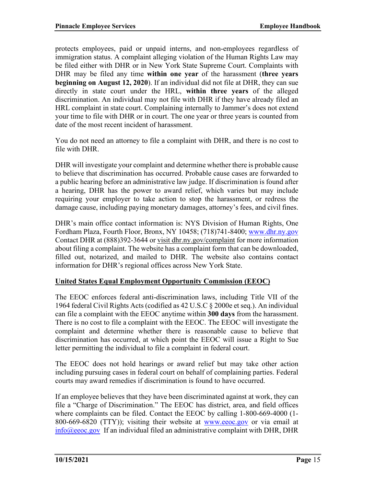protects employees, paid or unpaid interns, and non-employees regardless of immigration status. A complaint alleging violation of the Human Rights Law may be filed either with DHR or in New York State Supreme Court. Complaints with DHR may be filed any time **within one year** of the harassment (**three years beginning on August 12, 2020**). If an individual did not file at DHR, they can sue directly in state court under the HRL, **within three years** of the alleged discrimination. An individual may not file with DHR if they have already filed an HRL complaint in state court. Complaining internally to Jammer's does not extend your time to file with DHR or in court. The one year or three years is counted from date of the most recent incident of harassment.

You do not need an attorney to file a complaint with DHR, and there is no cost to file with DHR.

DHR will investigate your complaint and determine whether there is probable cause to believe that discrimination has occurred. Probable cause cases are forwarded to a public hearing before an administrative law judge. If discrimination is found after a hearing, DHR has the power to award relief, which varies but may include requiring your employer to take action to stop the harassment, or redress the damage cause, including paying monetary damages, attorney's fees, and civil fines.

DHR's main office contact information is: NYS Division of Human Rights, One Fordham Plaza, Fourth Floor, Bronx, NY 10458; (718)741-8400; [www.dhr.ny.gov](http://www.dhr.ny.gov/)  Contact DHR at (888)392-3644 or visit dhr.ny.gov/complaint for more information about filing a complaint. The website has a complaint form that can be downloaded, filled out, notarized, and mailed to DHR. The website also contains contact information for DHR's regional offices across New York State.

## **United States Equal Employment Opportunity Commission (EEOC)**

The EEOC enforces federal anti-discrimination laws, including Title VII of the 1964 federal Civil Rights Acts (codified as 42 U.S.C § 2000e et seq.). An individual can file a complaint with the EEOC anytime within **300 days** from the harassment. There is no cost to file a complaint with the EEOC. The EEOC will investigate the complaint and determine whether there is reasonable cause to believe that discrimination has occurred, at which point the EEOC will issue a Right to Sue letter permitting the individual to file a complaint in federal court.

The EEOC does not hold hearings or award relief but may take other action including pursuing cases in federal court on behalf of complaining parties. Federal courts may award remedies if discrimination is found to have occurred.

If an employee believes that they have been discriminated against at work, they can file a "Charge of Discrimination." The EEOC has district, area, and field offices where complaints can be filed. Contact the EEOC by calling 1-800-669-4000 (1- 800-669-6820 (TTY)); visiting their website at [www.eeoc.gov](http://www.eeoc.gov/) or via email at [info@eeoc.gov](mailto:info@eeoc.gov) If an individual filed an administrative complaint with DHR, DHR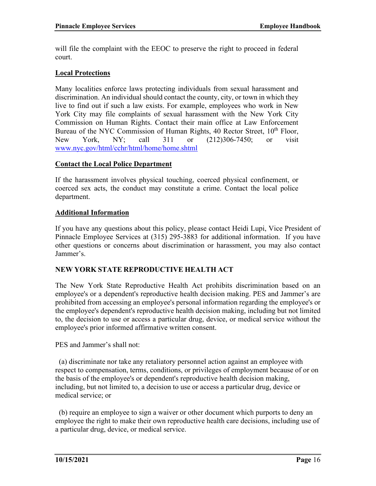will file the complaint with the EEOC to preserve the right to proceed in federal court.

## **Local Protections**

Many localities enforce laws protecting individuals from sexual harassment and discrimination. An individual should contact the county, city, or town in which they live to find out if such a law exists. For example, employees who work in New York City may file complaints of sexual harassment with the New York City Commission on Human Rights. Contact their main office at Law Enforcement Bureau of the NYC Commission of Human Rights, 40 Rector Street, 10<sup>th</sup> Floor, New York, NY; call 311 or (212)306-7450; or visit [www.nyc.gov/html/cchr/html/home/home.shtml](http://www.nyc.gov/html/cchr/html/home/home.shtml)

## **Contact the Local Police Department**

If the harassment involves physical touching, coerced physical confinement, or coerced sex acts, the conduct may constitute a crime. Contact the local police department.

## **Additional Information**

If you have any questions about this policy, please contact Heidi Lupi, Vice President of Pinnacle Employee Services at (315) 295-3883 for additional information. If you have other questions or concerns about discrimination or harassment, you may also contact Jammer's.

## **NEW YORK STATE REPRODUCTIVE HEALTH ACT**

The New York State Reproductive Health Act prohibits discrimination based on an employee's or a dependent's reproductive health decision making. PES and Jammer's are prohibited from accessing an employee's personal information regarding the employee's or the employee's dependent's reproductive health decision making, including but not limited to, the decision to use or access a particular drug, device, or medical service without the employee's prior informed affirmative written consent.

PES and Jammer's shall not:

 (a) discriminate nor take any retaliatory personnel action against an employee with respect to compensation, terms, conditions, or privileges of employment because of or on the basis of the employee's or dependent's reproductive health decision making, including, but not limited to, a decision to use or access a particular drug, device or medical service; or

 (b) require an employee to sign a waiver or other document which purports to deny an employee the right to make their own reproductive health care decisions, including use of a particular drug, device, or medical service.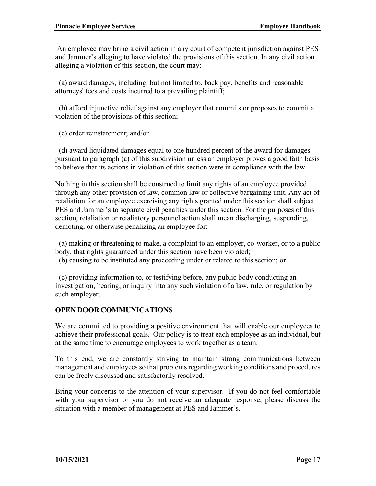An employee may bring a civil action in any court of competent jurisdiction against PES and Jammer's alleging to have violated the provisions of this section. In any civil action alleging a violation of this section, the court may:

 (a) award damages, including, but not limited to, back pay, benefits and reasonable attorneys' fees and costs incurred to a prevailing plaintiff;

 (b) afford injunctive relief against any employer that commits or proposes to commit a violation of the provisions of this section;

(c) order reinstatement; and/or

 (d) award liquidated damages equal to one hundred percent of the award for damages pursuant to paragraph (a) of this subdivision unless an employer proves a good faith basis to believe that its actions in violation of this section were in compliance with the law.

Nothing in this section shall be construed to limit any rights of an employee provided through any other provision of law, common law or collective bargaining unit. Any act of retaliation for an employee exercising any rights granted under this section shall subject PES and Jammer's to separate civil penalties under this section. For the purposes of this section, retaliation or retaliatory personnel action shall mean discharging, suspending, demoting, or otherwise penalizing an employee for:

 (a) making or threatening to make, a complaint to an employer, co-worker, or to a public body, that rights guaranteed under this section have been violated;

(b) causing to be instituted any proceeding under or related to this section; or

 (c) providing information to, or testifying before, any public body conducting an investigation, hearing, or inquiry into any such violation of a law, rule, or regulation by such employer.

## **OPEN DOOR COMMUNICATIONS**

We are committed to providing a positive environment that will enable our employees to achieve their professional goals. Our policy is to treat each employee as an individual, but at the same time to encourage employees to work together as a team.

To this end, we are constantly striving to maintain strong communications between management and employees so that problems regarding working conditions and procedures can be freely discussed and satisfactorily resolved.

Bring your concerns to the attention of your supervisor. If you do not feel comfortable with your supervisor or you do not receive an adequate response, please discuss the situation with a member of management at PES and Jammer's.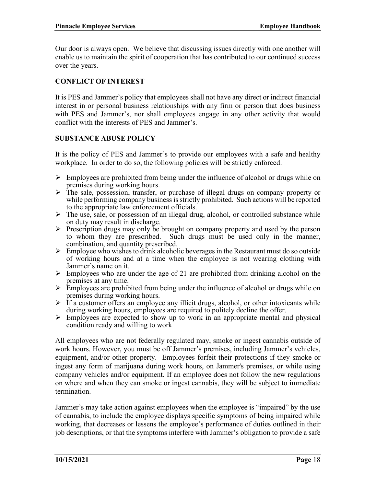Our door is always open. We believe that discussing issues directly with one another will enable us to maintain the spirit of cooperation that has contributed to our continued success over the years.

## **CONFLICT OF INTEREST**

It is PES and Jammer's policy that employees shall not have any direct or indirect financial interest in or personal business relationships with any firm or person that does business with PES and Jammer's, nor shall employees engage in any other activity that would conflict with the interests of PES and Jammer's.

## **SUBSTANCE ABUSE POLICY**

It is the policy of PES and Jammer's to provide our employees with a safe and healthy workplace. In order to do so, the following policies will be strictly enforced.

- $\triangleright$  Employees are prohibited from being under the influence of alcohol or drugs while on premises during working hours.
- > The sale, possession, transfer, or purchase of illegal drugs on company property or while performing company business is strictly prohibited. Such actions will be reported to the appropriate law enforcement officials.
- $\triangleright$  The use, sale, or possession of an illegal drug, alcohol, or controlled substance while on duty may result in discharge.
- $\triangleright$  Prescription drugs may only be brought on company property and used by the person to whom they are prescribed. Such drugs must be used only in the manner, combination, and quantity prescribed.
- $\triangleright$  Employee who wishes to drink alcoholic beverages in the Restaurant must do so outside of working hours and at a time when the employee is not wearing clothing with Jammer's name on it.
- $\triangleright$  Employees who are under the age of 21 are prohibited from drinking alcohol on the premises at any time.
- $\triangleright$  Employees are prohibited from being under the influence of alcohol or drugs while on premises during working hours.
- $\triangleright$  If a customer offers an employee any illicit drugs, alcohol, or other intoxicants while during working hours, employees are required to politely decline the offer.
- $\triangleright$  Employees are expected to show up to work in an appropriate mental and physical condition ready and willing to work

All employees who are not federally regulated may, smoke or ingest cannabis outside of work hours. However, you must be off Jammer's premises, including Jammer's vehicles, equipment, and/or other property. Employees forfeit their protections if they smoke or ingest any form of marijuana during work hours, on Jammer's premises, or while using company vehicles and/or equipment. If an employee does not follow the new regulations on where and when they can smoke or ingest cannabis, they will be subject to immediate termination.

Jammer's may take action against employees when the employee is "impaired" by the use of cannabis, to include the employee displays specific symptoms of being impaired while working, that decreases or lessens the employee's performance of duties outlined in their job descriptions, or that the symptoms interfere with Jammer's obligation to provide a safe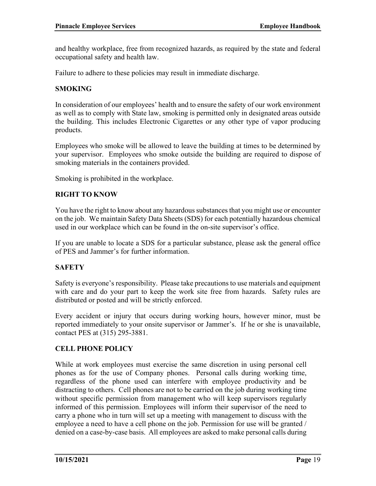and healthy workplace, free from recognized hazards, as required by the state and federal occupational safety and health law.

Failure to adhere to these policies may result in immediate discharge.

## **SMOKING**

In consideration of our employees' health and to ensure the safety of our work environment as well as to comply with State law, smoking is permitted only in designated areas outside the building. This includes Electronic Cigarettes or any other type of vapor producing products.

Employees who smoke will be allowed to leave the building at times to be determined by your supervisor. Employees who smoke outside the building are required to dispose of smoking materials in the containers provided.

Smoking is prohibited in the workplace.

## **RIGHT TO KNOW**

You have the right to know about any hazardous substances that you might use or encounter on the job. We maintain Safety Data Sheets (SDS) for each potentially hazardous chemical used in our workplace which can be found in the on-site supervisor's office.

If you are unable to locate a SDS for a particular substance, please ask the general office of PES and Jammer's for further information.

#### **SAFETY**

Safety is everyone's responsibility. Please take precautions to use materials and equipment with care and do your part to keep the work site free from hazards. Safety rules are distributed or posted and will be strictly enforced.

Every accident or injury that occurs during working hours, however minor, must be reported immediately to your onsite supervisor or Jammer's. If he or she is unavailable, contact PES at (315) 295-3881.

## **CELL PHONE POLICY**

While at work employees must exercise the same discretion in using personal cell phones as for the use of Company phones. Personal calls during working time, regardless of the phone used can interfere with employee productivity and be distracting to others. Cell phones are not to be carried on the job during working time without specific permission from management who will keep supervisors regularly informed of this permission. Employees will inform their supervisor of the need to carry a phone who in turn will set up a meeting with management to discuss with the employee a need to have a cell phone on the job. Permission for use will be granted / denied on a case-by-case basis. All employees are asked to make personal calls during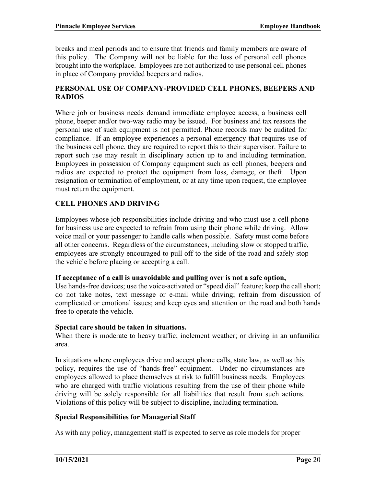breaks and meal periods and to ensure that friends and family members are aware of this policy. The Company will not be liable for the loss of personal cell phones brought into the workplace. Employees are not authorized to use personal cell phones in place of Company provided beepers and radios.

## **PERSONAL USE OF COMPANY-PROVIDED CELL PHONES, BEEPERS AND RADIOS**

Where job or business needs demand immediate employee access, a business cell phone, beeper and/or two-way radio may be issued. For business and tax reasons the personal use of such equipment is not permitted. Phone records may be audited for compliance. If an employee experiences a personal emergency that requires use of the business cell phone, they are required to report this to their supervisor. Failure to report such use may result in disciplinary action up to and including termination. Employees in possession of Company equipment such as cell phones, beepers and radios are expected to protect the equipment from loss, damage, or theft. Upon resignation or termination of employment, or at any time upon request, the employee must return the equipment.

## **CELL PHONES AND DRIVING**

Employees whose job responsibilities include driving and who must use a cell phone for business use are expected to refrain from using their phone while driving. Allow voice mail or your passenger to handle calls when possible. Safety must come before all other concerns. Regardless of the circumstances, including slow or stopped traffic, employees are strongly encouraged to pull off to the side of the road and safely stop the vehicle before placing or accepting a call.

#### **If acceptance of a call is unavoidable and pulling over is not a safe option,**

Use hands-free devices; use the voice-activated or "speed dial" feature; keep the call short; do not take notes, text message or e-mail while driving; refrain from discussion of complicated or emotional issues; and keep eyes and attention on the road and both hands free to operate the vehicle.

#### **Special care should be taken in situations.**

When there is moderate to heavy traffic; inclement weather; or driving in an unfamiliar area.

In situations where employees drive and accept phone calls, state law, as well as this policy, requires the use of "hands-free" equipment. Under no circumstances are employees allowed to place themselves at risk to fulfill business needs. Employees who are charged with traffic violations resulting from the use of their phone while driving will be solely responsible for all liabilities that result from such actions. Violations of this policy will be subject to discipline, including termination.

## **Special Responsibilities for Managerial Staff**

As with any policy, management staff is expected to serve as role models for proper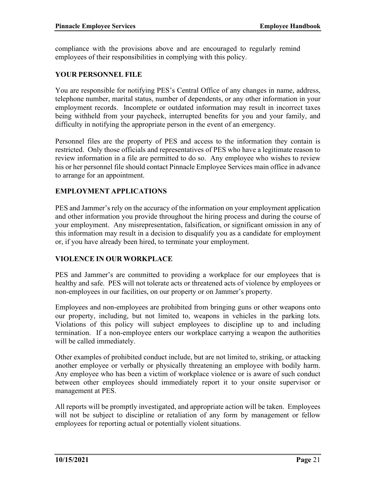compliance with the provisions above and are encouraged to regularly remind employees of their responsibilities in complying with this policy.

#### **YOUR PERSONNEL FILE**

You are responsible for notifying PES's Central Office of any changes in name, address, telephone number, marital status, number of dependents, or any other information in your employment records. Incomplete or outdated information may result in incorrect taxes being withheld from your paycheck, interrupted benefits for you and your family, and difficulty in notifying the appropriate person in the event of an emergency.

Personnel files are the property of PES and access to the information they contain is restricted. Only those officials and representatives of PES who have a legitimate reason to review information in a file are permitted to do so. Any employee who wishes to review his or her personnel file should contact Pinnacle Employee Services main office in advance to arrange for an appointment.

## **EMPLOYMENT APPLICATIONS**

PES and Jammer's rely on the accuracy of the information on your employment application and other information you provide throughout the hiring process and during the course of your employment. Any misrepresentation, falsification, or significant omission in any of this information may result in a decision to disqualify you as a candidate for employment or, if you have already been hired, to terminate your employment.

## **VIOLENCE IN OUR WORKPLACE**

PES and Jammer's are committed to providing a workplace for our employees that is healthy and safe. PES will not tolerate acts or threatened acts of violence by employees or non-employees in our facilities, on our property or on Jammer's property.

Employees and non-employees are prohibited from bringing guns or other weapons onto our property, including, but not limited to, weapons in vehicles in the parking lots. Violations of this policy will subject employees to discipline up to and including termination. If a non-employee enters our workplace carrying a weapon the authorities will be called immediately.

Other examples of prohibited conduct include, but are not limited to, striking, or attacking another employee or verbally or physically threatening an employee with bodily harm. Any employee who has been a victim of workplace violence or is aware of such conduct between other employees should immediately report it to your onsite supervisor or management at PES.

All reports will be promptly investigated, and appropriate action will be taken. Employees will not be subject to discipline or retaliation of any form by management or fellow employees for reporting actual or potentially violent situations.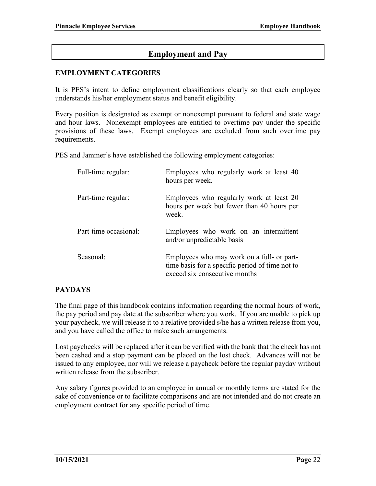## **Employment and Pay**

## **EMPLOYMENT CATEGORIES**

It is PES's intent to define employment classifications clearly so that each employee understands his/her employment status and benefit eligibility.

Every position is designated as exempt or nonexempt pursuant to federal and state wage and hour laws. Nonexempt employees are entitled to overtime pay under the specific provisions of these laws. Exempt employees are excluded from such overtime pay requirements.

PES and Jammer's have established the following employment categories:

| Full-time regular:    | Employees who regularly work at least 40<br>hours per week.                                                                    |
|-----------------------|--------------------------------------------------------------------------------------------------------------------------------|
| Part-time regular:    | Employees who regularly work at least 20<br>hours per week but fewer than 40 hours per<br>week.                                |
| Part-time occasional: | Employees who work on an intermittent<br>and/or unpredictable basis                                                            |
| Seasonal:             | Employees who may work on a full- or part-<br>time basis for a specific period of time not to<br>exceed six consecutive months |

## **PAYDAYS**

The final page of this handbook contains information regarding the normal hours of work, the pay period and pay date at the subscriber where you work. If you are unable to pick up your paycheck, we will release it to a relative provided s/he has a written release from you, and you have called the office to make such arrangements.

Lost paychecks will be replaced after it can be verified with the bank that the check has not been cashed and a stop payment can be placed on the lost check. Advances will not be issued to any employee, nor will we release a paycheck before the regular payday without written release from the subscriber.

Any salary figures provided to an employee in annual or monthly terms are stated for the sake of convenience or to facilitate comparisons and are not intended and do not create an employment contract for any specific period of time.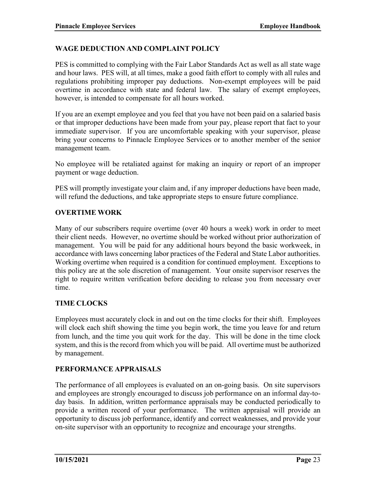## **WAGE DEDUCTION AND COMPLAINT POLICY**

PES is committed to complying with the Fair Labor Standards Act as well as all state wage and hour laws. PES will, at all times, make a good faith effort to comply with all rules and regulations prohibiting improper pay deductions. Non-exempt employees will be paid overtime in accordance with state and federal law. The salary of exempt employees, however, is intended to compensate for all hours worked.

If you are an exempt employee and you feel that you have not been paid on a salaried basis or that improper deductions have been made from your pay, please report that fact to your immediate supervisor. If you are uncomfortable speaking with your supervisor, please bring your concerns to Pinnacle Employee Services or to another member of the senior management team.

No employee will be retaliated against for making an inquiry or report of an improper payment or wage deduction.

PES will promptly investigate your claim and, if any improper deductions have been made, will refund the deductions, and take appropriate steps to ensure future compliance.

## **OVERTIME WORK**

Many of our subscribers require overtime (over 40 hours a week) work in order to meet their client needs. However, no overtime should be worked without prior authorization of management. You will be paid for any additional hours beyond the basic workweek, in accordance with laws concerning labor practices of the Federal and State Labor authorities. Working overtime when required is a condition for continued employment. Exceptions to this policy are at the sole discretion of management. Your onsite supervisor reserves the right to require written verification before deciding to release you from necessary over time.

## **TIME CLOCKS**

Employees must accurately clock in and out on the time clocks for their shift. Employees will clock each shift showing the time you begin work, the time you leave for and return from lunch, and the time you quit work for the day. This will be done in the time clock system, and this is the record from which you will be paid. All overtime must be authorized by management.

## **PERFORMANCE APPRAISALS**

The performance of all employees is evaluated on an on-going basis. On site supervisors and employees are strongly encouraged to discuss job performance on an informal day-today basis. In addition, written performance appraisals may be conducted periodically to provide a written record of your performance. The written appraisal will provide an opportunity to discuss job performance, identify and correct weaknesses, and provide your on-site supervisor with an opportunity to recognize and encourage your strengths.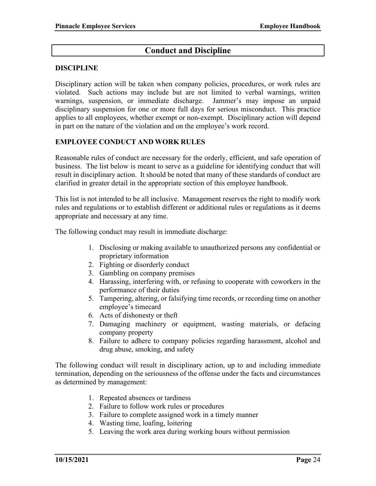## **Conduct and Discipline**

#### **DISCIPLINE**

Disciplinary action will be taken when company policies, procedures, or work rules are violated. Such actions may include but are not limited to verbal warnings, written warnings, suspension, or immediate discharge. Jammer's may impose an unpaid disciplinary suspension for one or more full days for serious misconduct. This practice applies to all employees, whether exempt or non-exempt. Disciplinary action will depend in part on the nature of the violation and on the employee's work record.

## **EMPLOYEE CONDUCT AND WORK RULES**

Reasonable rules of conduct are necessary for the orderly, efficient, and safe operation of business. The list below is meant to serve as a guideline for identifying conduct that will result in disciplinary action. It should be noted that many of these standards of conduct are clarified in greater detail in the appropriate section of this employee handbook.

This list is not intended to be all inclusive. Management reserves the right to modify work rules and regulations or to establish different or additional rules or regulations as it deems appropriate and necessary at any time.

The following conduct may result in immediate discharge:

- 1. Disclosing or making available to unauthorized persons any confidential or proprietary information
- 2. Fighting or disorderly conduct
- 3. Gambling on company premises
- 4. Harassing, interfering with, or refusing to cooperate with coworkers in the performance of their duties
- 5. Tampering, altering, or falsifying time records, or recording time on another employee's timecard
- 6. Acts of dishonesty or theft
- 7. Damaging machinery or equipment, wasting materials, or defacing company property
- 8. Failure to adhere to company policies regarding harassment, alcohol and drug abuse, smoking, and safety

The following conduct will result in disciplinary action, up to and including immediate termination, depending on the seriousness of the offense under the facts and circumstances as determined by management:

- 1. Repeated absences or tardiness
- 2. Failure to follow work rules or procedures
- 3. Failure to complete assigned work in a timely manner
- 4. Wasting time, loafing, loitering
- 5. Leaving the work area during working hours without permission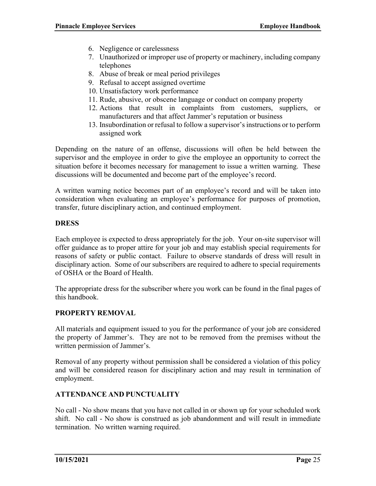- 6. Negligence or carelessness
- 7. Unauthorized or improper use of property or machinery, including company telephones
- 8. Abuse of break or meal period privileges
- 9. Refusal to accept assigned overtime
- 10. Unsatisfactory work performance
- 11. Rude, abusive, or obscene language or conduct on company property
- 12. Actions that result in complaints from customers, suppliers, or manufacturers and that affect Jammer's reputation or business
- 13. Insubordination or refusal to follow a supervisor's instructions or to perform assigned work

Depending on the nature of an offense, discussions will often be held between the supervisor and the employee in order to give the employee an opportunity to correct the situation before it becomes necessary for management to issue a written warning. These discussions will be documented and become part of the employee's record.

A written warning notice becomes part of an employee's record and will be taken into consideration when evaluating an employee's performance for purposes of promotion, transfer, future disciplinary action, and continued employment.

## **DRESS**

Each employee is expected to dress appropriately for the job. Your on-site supervisor will offer guidance as to proper attire for your job and may establish special requirements for reasons of safety or public contact. Failure to observe standards of dress will result in disciplinary action. Some of our subscribers are required to adhere to special requirements of OSHA or the Board of Health.

The appropriate dress for the subscriber where you work can be found in the final pages of this handbook.

## **PROPERTY REMOVAL**

All materials and equipment issued to you for the performance of your job are considered the property of Jammer's. They are not to be removed from the premises without the written permission of Jammer's.

Removal of any property without permission shall be considered a violation of this policy and will be considered reason for disciplinary action and may result in termination of employment.

## **ATTENDANCE AND PUNCTUALITY**

No call - No show means that you have not called in or shown up for your scheduled work shift. No call - No show is construed as job abandonment and will result in immediate termination. No written warning required.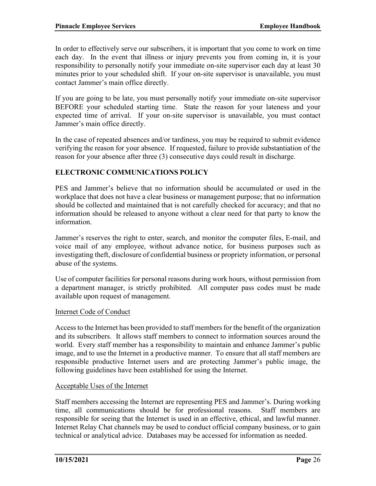In order to effectively serve our subscribers, it is important that you come to work on time each day. In the event that illness or injury prevents you from coming in, it is your responsibility to personally notify your immediate on-site supervisor each day at least 30 minutes prior to your scheduled shift. If your on-site supervisor is unavailable, you must contact Jammer's main office directly.

If you are going to be late, you must personally notify your immediate on-site supervisor BEFORE your scheduled starting time. State the reason for your lateness and your expected time of arrival. If your on-site supervisor is unavailable, you must contact Jammer's main office directly.

In the case of repeated absences and/or tardiness, you may be required to submit evidence verifying the reason for your absence. If requested, failure to provide substantiation of the reason for your absence after three (3) consecutive days could result in discharge.

## **ELECTRONIC COMMUNICATIONS POLICY**

PES and Jammer's believe that no information should be accumulated or used in the workplace that does not have a clear business or management purpose; that no information should be collected and maintained that is not carefully checked for accuracy; and that no information should be released to anyone without a clear need for that party to know the information.

Jammer's reserves the right to enter, search, and monitor the computer files, E-mail, and voice mail of any employee, without advance notice, for business purposes such as investigating theft, disclosure of confidential business or propriety information, or personal abuse of the systems.

Use of computer facilities for personal reasons during work hours, without permission from a department manager, is strictly prohibited. All computer pass codes must be made available upon request of management.

#### Internet Code of Conduct

Access to the Internet has been provided to staff members for the benefit of the organization and its subscribers. It allows staff members to connect to information sources around the world. Every staff member has a responsibility to maintain and enhance Jammer's public image, and to use the Internet in a productive manner. To ensure that all staff members are responsible productive Internet users and are protecting Jammer's public image, the following guidelines have been established for using the Internet.

## Acceptable Uses of the Internet

Staff members accessing the Internet are representing PES and Jammer's. During working time, all communications should be for professional reasons. Staff members are responsible for seeing that the Internet is used in an effective, ethical, and lawful manner. Internet Relay Chat channels may be used to conduct official company business, or to gain technical or analytical advice. Databases may be accessed for information as needed.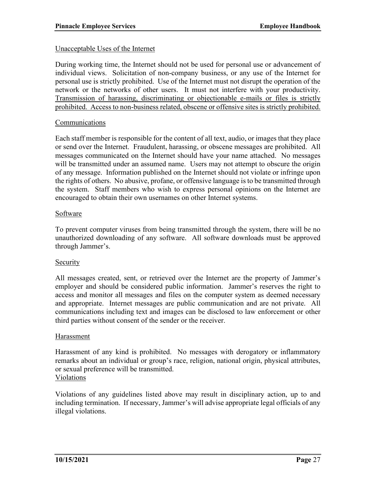## Unacceptable Uses of the Internet

During working time, the Internet should not be used for personal use or advancement of individual views. Solicitation of non-company business, or any use of the Internet for personal use is strictly prohibited. Use of the Internet must not disrupt the operation of the network or the networks of other users. It must not interfere with your productivity. Transmission of harassing, discriminating or objectionable e-mails or files is strictly prohibited. Access to non-business related, obscene or offensive sites is strictly prohibited.

## Communications

Each staff member is responsible for the content of all text, audio, or images that they place or send over the Internet. Fraudulent, harassing, or obscene messages are prohibited. All messages communicated on the Internet should have your name attached. No messages will be transmitted under an assumed name. Users may not attempt to obscure the origin of any message. Information published on the Internet should not violate or infringe upon the rights of others. No abusive, profane, or offensive language is to be transmitted through the system. Staff members who wish to express personal opinions on the Internet are encouraged to obtain their own usernames on other Internet systems.

## Software

To prevent computer viruses from being transmitted through the system, there will be no unauthorized downloading of any software. All software downloads must be approved through Jammer's.

## **Security**

All messages created, sent, or retrieved over the Internet are the property of Jammer's employer and should be considered public information. Jammer's reserves the right to access and monitor all messages and files on the computer system as deemed necessary and appropriate. Internet messages are public communication and are not private. All communications including text and images can be disclosed to law enforcement or other third parties without consent of the sender or the receiver.

## Harassment

Harassment of any kind is prohibited. No messages with derogatory or inflammatory remarks about an individual or group's race, religion, national origin, physical attributes, or sexual preference will be transmitted. Violations

Violations of any guidelines listed above may result in disciplinary action, up to and including termination. If necessary, Jammer's will advise appropriate legal officials of any illegal violations.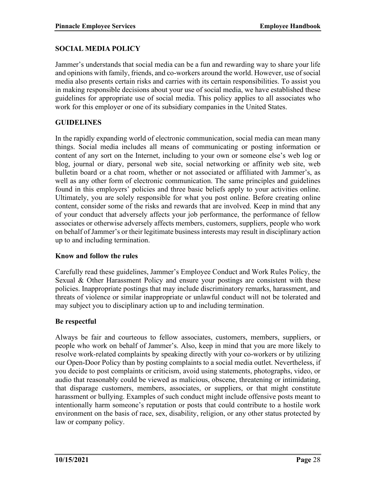## **SOCIAL MEDIA POLICY**

Jammer's understands that social media can be a fun and rewarding way to share your life and opinions with family, friends, and co-workers around the world. However, use of social media also presents certain risks and carries with its certain responsibilities. To assist you in making responsible decisions about your use of social media, we have established these guidelines for appropriate use of social media. This policy applies to all associates who work for this employer or one of its subsidiary companies in the United States.

## **GUIDELINES**

In the rapidly expanding world of electronic communication, social media can mean many things. Social media includes all means of communicating or posting information or content of any sort on the Internet, including to your own or someone else's web log or blog, journal or diary, personal web site, social networking or affinity web site, web bulletin board or a chat room, whether or not associated or affiliated with Jammer's, as well as any other form of electronic communication. The same principles and guidelines found in this employers' policies and three basic beliefs apply to your activities online. Ultimately, you are solely responsible for what you post online. Before creating online content, consider some of the risks and rewards that are involved. Keep in mind that any of your conduct that adversely affects your job performance, the performance of fellow associates or otherwise adversely affects members, customers, suppliers, people who work on behalf of Jammer's or their legitimate business interests may result in disciplinary action up to and including termination.

## **Know and follow the rules**

Carefully read these guidelines, Jammer's Employee Conduct and Work Rules Policy, the Sexual & Other Harassment Policy and ensure your postings are consistent with these policies. Inappropriate postings that may include discriminatory remarks, harassment, and threats of violence or similar inappropriate or unlawful conduct will not be tolerated and may subject you to disciplinary action up to and including termination.

## **Be respectful**

Always be fair and courteous to fellow associates, customers, members, suppliers, or people who work on behalf of Jammer's. Also, keep in mind that you are more likely to resolve work-related complaints by speaking directly with your co-workers or by utilizing our Open-Door Policy than by posting complaints to a social media outlet. Nevertheless, if you decide to post complaints or criticism, avoid using statements, photographs, video, or audio that reasonably could be viewed as malicious, obscene, threatening or intimidating, that disparage customers, members, associates, or suppliers, or that might constitute harassment or bullying. Examples of such conduct might include offensive posts meant to intentionally harm someone's reputation or posts that could contribute to a hostile work environment on the basis of race, sex, disability, religion, or any other status protected by law or company policy.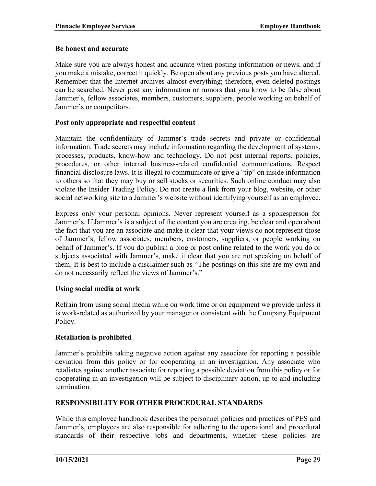#### **Be honest and accurate**

Make sure you are always honest and accurate when posting information or news, and if you make a mistake, correct it quickly. Be open about any previous posts you have altered. Remember that the Internet archives almost everything; therefore, even deleted postings can be searched. Never post any information or rumors that you know to be false about Jammer's, fellow associates, members, customers, suppliers, people working on behalf of Jammer's or competitors.

#### **Post only appropriate and respectful content**

Maintain the confidentiality of Jammer's trade secrets and private or confidential information. Trade secrets may include information regarding the development of systems, processes, products, know-how and technology. Do not post internal reports, policies, procedures, or other internal business-related confidential communications. Respect financial disclosure laws. It is illegal to communicate or give a "tip" on inside information to others so that they may buy or sell stocks or securities. Such online conduct may also violate the Insider Trading Policy. Do not create a link from your blog, website, or other social networking site to a Jammer's website without identifying yourself as an employee.

Express only your personal opinions. Never represent yourself as a spokesperson for Jammer's. If Jammer's is a subject of the content you are creating, be clear and open about the fact that you are an associate and make it clear that your views do not represent those of Jammer's, fellow associates, members, customers, suppliers, or people working on behalf of Jammer's. If you do publish a blog or post online related to the work you do or subjects associated with Jammer's, make it clear that you are not speaking on behalf of them. It is best to include a disclaimer such as "The postings on this site are my own and do not necessarily reflect the views of Jammer's."

#### **Using social media at work**

Refrain from using social media while on work time or on equipment we provide unless it is work-related as authorized by your manager or consistent with the Company Equipment Policy.

## **Retaliation is prohibited**

Jammer's prohibits taking negative action against any associate for reporting a possible deviation from this policy or for cooperating in an investigation. Any associate who retaliates against another associate for reporting a possible deviation from this policy or for cooperating in an investigation will be subject to disciplinary action, up to and including termination.

## **RESPONSIBILITY FOR OTHER PROCEDURAL STANDARDS**

While this employee handbook describes the personnel policies and practices of PES and Jammer's, employees are also responsible for adhering to the operational and procedural standards of their respective jobs and departments, whether these policies are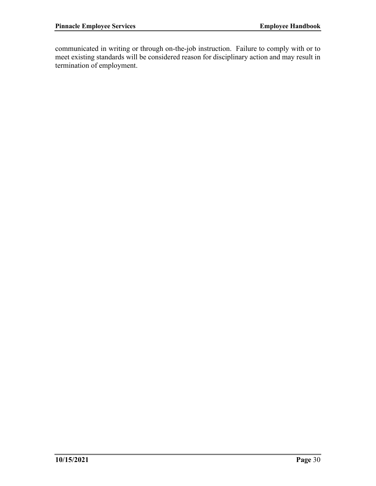communicated in writing or through on-the-job instruction. Failure to comply with or to meet existing standards will be considered reason for disciplinary action and may result in termination of employment.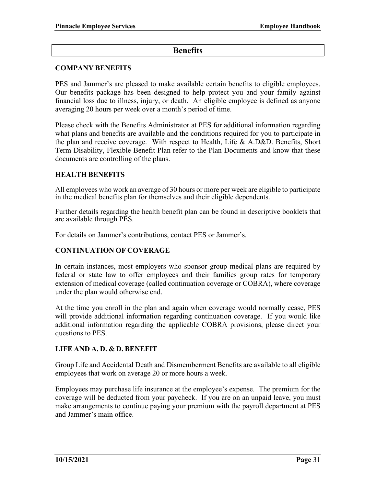## **Benefits**

#### **COMPANY BENEFITS**

PES and Jammer's are pleased to make available certain benefits to eligible employees. Our benefits package has been designed to help protect you and your family against financial loss due to illness, injury, or death. An eligible employee is defined as anyone averaging 20 hours per week over a month's period of time.

Please check with the Benefits Administrator at PES for additional information regarding what plans and benefits are available and the conditions required for you to participate in the plan and receive coverage. With respect to Health, Life & A.D&D. Benefits, Short Term Disability, Flexible Benefit Plan refer to the Plan Documents and know that these documents are controlling of the plans.

#### **HEALTH BENEFITS**

All employees who work an average of 30 hours or more per week are eligible to participate in the medical benefits plan for themselves and their eligible dependents.

Further details regarding the health benefit plan can be found in descriptive booklets that are available through PES.

For details on Jammer's contributions, contact PES or Jammer's.

## **CONTINUATION OF COVERAGE**

In certain instances, most employers who sponsor group medical plans are required by federal or state law to offer employees and their families group rates for temporary extension of medical coverage (called continuation coverage or COBRA), where coverage under the plan would otherwise end.

At the time you enroll in the plan and again when coverage would normally cease, PES will provide additional information regarding continuation coverage. If you would like additional information regarding the applicable COBRA provisions, please direct your questions to PES.

#### **LIFE AND A. D. & D. BENEFIT**

Group Life and Accidental Death and Dismemberment Benefits are available to all eligible employees that work on average 20 or more hours a week.

Employees may purchase life insurance at the employee's expense. The premium for the coverage will be deducted from your paycheck. If you are on an unpaid leave, you must make arrangements to continue paying your premium with the payroll department at PES and Jammer's main office.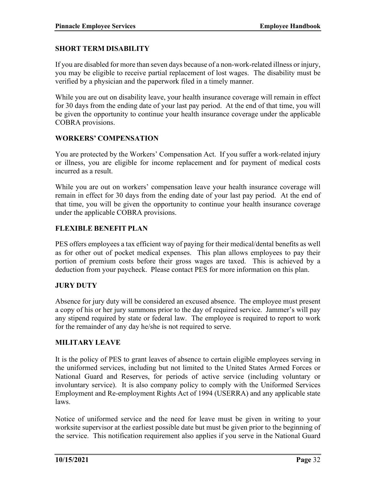## **SHORT TERM DISABILITY**

If you are disabled for more than seven days because of a non-work-related illness or injury, you may be eligible to receive partial replacement of lost wages. The disability must be verified by a physician and the paperwork filed in a timely manner.

While you are out on disability leave, your health insurance coverage will remain in effect for 30 days from the ending date of your last pay period. At the end of that time, you will be given the opportunity to continue your health insurance coverage under the applicable COBRA provisions.

## **WORKERS' COMPENSATION**

You are protected by the Workers' Compensation Act. If you suffer a work-related injury or illness, you are eligible for income replacement and for payment of medical costs incurred as a result.

While you are out on workers' compensation leave your health insurance coverage will remain in effect for 30 days from the ending date of your last pay period. At the end of that time, you will be given the opportunity to continue your health insurance coverage under the applicable COBRA provisions.

## **FLEXIBLE BENEFIT PLAN**

PES offers employees a tax efficient way of paying for their medical/dental benefits as well as for other out of pocket medical expenses. This plan allows employees to pay their portion of premium costs before their gross wages are taxed. This is achieved by a deduction from your paycheck. Please contact PES for more information on this plan.

## **JURY DUTY**

Absence for jury duty will be considered an excused absence. The employee must present a copy of his or her jury summons prior to the day of required service. Jammer's will pay any stipend required by state or federal law. The employee is required to report to work for the remainder of any day he/she is not required to serve.

## **MILITARY LEAVE**

It is the policy of PES to grant leaves of absence to certain eligible employees serving in the uniformed services, including but not limited to the United States Armed Forces or National Guard and Reserves, for periods of active service (including voluntary or involuntary service). It is also company policy to comply with the Uniformed Services Employment and Re-employment Rights Act of 1994 (USERRA) and any applicable state laws.

Notice of uniformed service and the need for leave must be given in writing to your worksite supervisor at the earliest possible date but must be given prior to the beginning of the service. This notification requirement also applies if you serve in the National Guard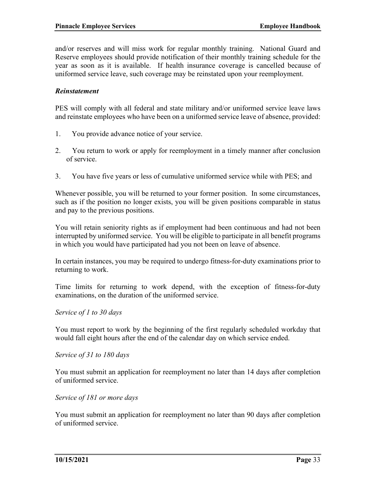and/or reserves and will miss work for regular monthly training. National Guard and Reserve employees should provide notification of their monthly training schedule for the year as soon as it is available. If health insurance coverage is cancelled because of uniformed service leave, such coverage may be reinstated upon your reemployment.

#### *Reinstatement*

PES will comply with all federal and state military and/or uniformed service leave laws and reinstate employees who have been on a uniformed service leave of absence, provided:

- 1. You provide advance notice of your service.
- 2. You return to work or apply for reemployment in a timely manner after conclusion of service.
- 3. You have five years or less of cumulative uniformed service while with PES; and

Whenever possible, you will be returned to your former position. In some circumstances, such as if the position no longer exists, you will be given positions comparable in status and pay to the previous positions.

You will retain seniority rights as if employment had been continuous and had not been interrupted by uniformed service. You will be eligible to participate in all benefit programs in which you would have participated had you not been on leave of absence.

In certain instances, you may be required to undergo fitness-for-duty examinations prior to returning to work.

Time limits for returning to work depend, with the exception of fitness-for-duty examinations, on the duration of the uniformed service.

#### *Service of 1 to 30 days*

You must report to work by the beginning of the first regularly scheduled workday that would fall eight hours after the end of the calendar day on which service ended.

*Service of 31 to 180 days*

You must submit an application for reemployment no later than 14 days after completion of uniformed service.

#### *Service of 181 or more days*

You must submit an application for reemployment no later than 90 days after completion of uniformed service.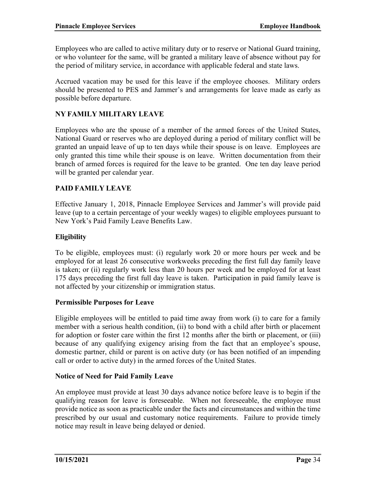Employees who are called to active military duty or to reserve or National Guard training, or who volunteer for the same, will be granted a military leave of absence without pay for the period of military service, in accordance with applicable federal and state laws.

Accrued vacation may be used for this leave if the employee chooses. Military orders should be presented to PES and Jammer's and arrangements for leave made as early as possible before departure.

## **NY FAMILY MILITARY LEAVE**

Employees who are the spouse of a member of the armed forces of the United States, National Guard or reserves who are deployed during a period of military conflict will be granted an unpaid leave of up to ten days while their spouse is on leave. Employees are only granted this time while their spouse is on leave. Written documentation from their branch of armed forces is required for the leave to be granted. One ten day leave period will be granted per calendar year.

## **PAID FAMILY LEAVE**

Effective January 1, 2018, Pinnacle Employee Services and Jammer's will provide paid leave (up to a certain percentage of your weekly wages) to eligible employees pursuant to New York's Paid Family Leave Benefits Law.

## **Eligibility**

To be eligible, employees must: (i) regularly work 20 or more hours per week and be employed for at least 26 consecutive workweeks preceding the first full day family leave is taken; or (ii) regularly work less than 20 hours per week and be employed for at least 175 days preceding the first full day leave is taken. Participation in paid family leave is not affected by your citizenship or immigration status.

## **Permissible Purposes for Leave**

Eligible employees will be entitled to paid time away from work (i) to care for a family member with a serious health condition, (ii) to bond with a child after birth or placement for adoption or foster care within the first 12 months after the birth or placement, or (iii) because of any qualifying exigency arising from the fact that an employee's spouse, domestic partner, child or parent is on active duty (or has been notified of an impending call or order to active duty) in the armed forces of the United States.

#### **Notice of Need for Paid Family Leave**

An employee must provide at least 30 days advance notice before leave is to begin if the qualifying reason for leave is foreseeable. When not foreseeable, the employee must provide notice as soon as practicable under the facts and circumstances and within the time prescribed by our usual and customary notice requirements. Failure to provide timely notice may result in leave being delayed or denied.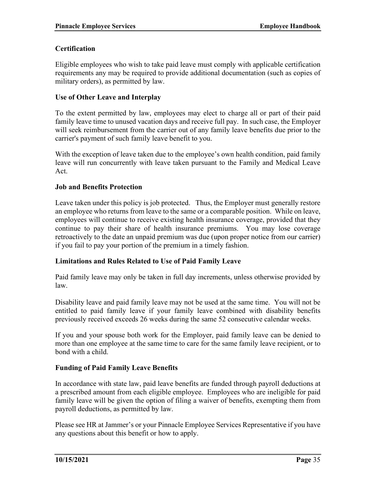## **Certification**

Eligible employees who wish to take paid leave must comply with applicable certification requirements any may be required to provide additional documentation (such as copies of military orders), as permitted by law.

## **Use of Other Leave and Interplay**

To the extent permitted by law, employees may elect to charge all or part of their paid family leave time to unused vacation days and receive full pay. In such case, the Employer will seek reimbursement from the carrier out of any family leave benefits due prior to the carrier's payment of such family leave benefit to you.

With the exception of leave taken due to the employee's own health condition, paid family leave will run concurrently with leave taken pursuant to the Family and Medical Leave Act.

## **Job and Benefits Protection**

Leave taken under this policy is job protected. Thus, the Employer must generally restore an employee who returns from leave to the same or a comparable position. While on leave, employees will continue to receive existing health insurance coverage, provided that they continue to pay their share of health insurance premiums. You may lose coverage retroactively to the date an unpaid premium was due (upon proper notice from our carrier) if you fail to pay your portion of the premium in a timely fashion.

## **Limitations and Rules Related to Use of Paid Family Leave**

Paid family leave may only be taken in full day increments, unless otherwise provided by law.

Disability leave and paid family leave may not be used at the same time. You will not be entitled to paid family leave if your family leave combined with disability benefits previously received exceeds 26 weeks during the same 52 consecutive calendar weeks.

If you and your spouse both work for the Employer, paid family leave can be denied to more than one employee at the same time to care for the same family leave recipient, or to bond with a child.

## **Funding of Paid Family Leave Benefits**

In accordance with state law, paid leave benefits are funded through payroll deductions at a prescribed amount from each eligible employee. Employees who are ineligible for paid family leave will be given the option of filing a waiver of benefits, exempting them from payroll deductions, as permitted by law.

Please see HR at Jammer's or your Pinnacle Employee Services Representative if you have any questions about this benefit or how to apply.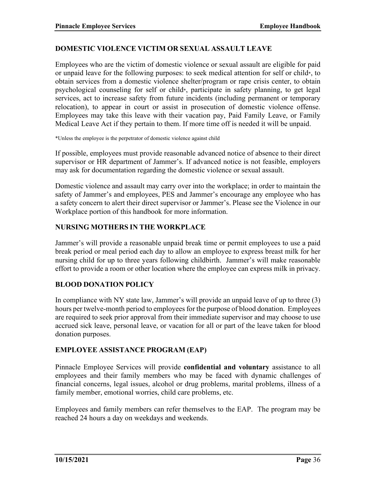#### **DOMESTIC VIOLENCE VICTIM OR SEXUAL ASSAULT LEAVE**

Employees who are the victim of domestic violence or sexual assault are eligible for paid or unpaid leave for the following purposes: to seek medical attention for self or child\*, to obtain services from a domestic violence shelter/program or rape crisis center, to obtain psychological counseling for self or child\*, participate in safety planning, to get legal services, act to increase safety from future incidents (including permanent or temporary relocation), to appear in court or assist in prosecution of domestic violence offense. Employees may take this leave with their vacation pay, Paid Family Leave, or Family Medical Leave Act if they pertain to them. If more time off is needed it will be unpaid.

\*Unless the employee is the perpetrator of domestic violence against child

If possible, employees must provide reasonable advanced notice of absence to their direct supervisor or HR department of Jammer's. If advanced notice is not feasible, employers may ask for documentation regarding the domestic violence or sexual assault.

Domestic violence and assault may carry over into the workplace; in order to maintain the safety of Jammer's and employees, PES and Jammer's encourage any employee who has a safety concern to alert their direct supervisor or Jammer's. Please see the Violence in our Workplace portion of this handbook for more information.

## **NURSING MOTHERS IN THE WORKPLACE**

Jammer's will provide a reasonable unpaid break time or permit employees to use a paid break period or meal period each day to allow an employee to express breast milk for her nursing child for up to three years following childbirth. Jammer's will make reasonable effort to provide a room or other location where the employee can express milk in privacy.

## **BLOOD DONATION POLICY**

In compliance with NY state law, Jammer's will provide an unpaid leave of up to three (3) hours per twelve-month period to employees for the purpose of blood donation. Employees are required to seek prior approval from their immediate supervisor and may choose to use accrued sick leave, personal leave, or vacation for all or part of the leave taken for blood donation purposes.

#### **EMPLOYEE ASSISTANCE PROGRAM (EAP)**

Pinnacle Employee Services will provide **confidential and voluntary** assistance to all employees and their family members who may be faced with dynamic challenges of financial concerns, legal issues, alcohol or drug problems, marital problems, illness of a family member, emotional worries, child care problems, etc.

Employees and family members can refer themselves to the EAP. The program may be reached 24 hours a day on weekdays and weekends.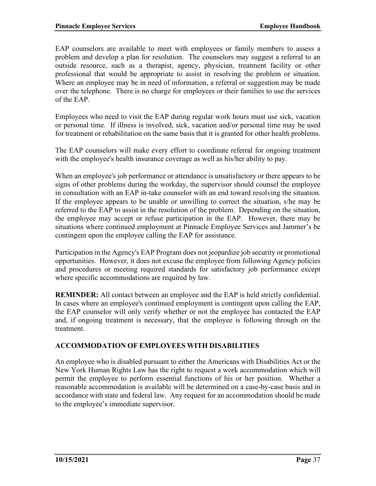EAP counselors are available to meet with employees or family members to assess a problem and develop a plan for resolution. The counselors may suggest a referral to an outside resource, such as a therapist, agency, physician, treatment facility or other professional that would be appropriate to assist in resolving the problem or situation. Where an employee may be in need of information, a referral or suggestion may be made over the telephone. There is no charge for employees or their families to use the services of the EAP.

Employees who need to visit the EAP during regular work hours must use sick, vacation or personal time. If illness is involved, sick, vacation and/or personal time may be used for treatment or rehabilitation on the same basis that it is granted for other health problems.

The EAP counselors will make every effort to coordinate referral for ongoing treatment with the employee's health insurance coverage as well as his/her ability to pay.

When an employee's job performance or attendance is unsatisfactory or there appears to be signs of other problems during the workday, the supervisor should counsel the employee in consultation with an EAP in-take counselor with an end toward resolving the situation. If the employee appears to be unable or unwilling to correct the situation, s/he may be referred to the EAP to assist in the resolution of the problem. Depending on the situation, the employee may accept or refuse participation in the EAP. However, there may be situations where continued employment at Pinnacle Employee Services and Jammer's be contingent upon the employee calling the EAP for assistance.

Participation in the Agency's EAP Program does not jeopardize job security or promotional opportunities. However, it does not excuse the employee from following Agency policies and procedures or meeting required standards for satisfactory job performance except where specific accommodations are required by law.

**REMINDER:** All contact between an employee and the EAP is held strictly confidential. In cases where an employee's continued employment is contingent upon calling the EAP, the EAP counselor will only verify whether or not the employee has contacted the EAP and, if ongoing treatment is necessary, that the employee is following through on the treatment.

## **ACCOMMODATION OF EMPLOYEES WITH DISABILITIES**

An employee who is disabled pursuant to either the Americans with Disabilities Act or the New York Human Rights Law has the right to request a work accommodation which will permit the employee to perform essential functions of his or her position. Whether a reasonable accommodation is available will be determined on a case-by-case basis and in accordance with state and federal law. Any request for an accommodation should be made to the employee's immediate supervisor.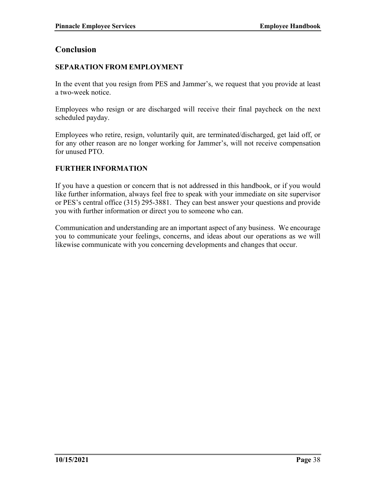## **Conclusion**

## **SEPARATION FROM EMPLOYMENT**

In the event that you resign from PES and Jammer's, we request that you provide at least a two-week notice.

Employees who resign or are discharged will receive their final paycheck on the next scheduled payday.

Employees who retire, resign, voluntarily quit, are terminated/discharged, get laid off, or for any other reason are no longer working for Jammer's, will not receive compensation for unused PTO.

## **FURTHER INFORMATION**

If you have a question or concern that is not addressed in this handbook, or if you would like further information, always feel free to speak with your immediate on site supervisor or PES's central office (315) 295-3881. They can best answer your questions and provide you with further information or direct you to someone who can.

Communication and understanding are an important aspect of any business. We encourage you to communicate your feelings, concerns, and ideas about our operations as we will likewise communicate with you concerning developments and changes that occur.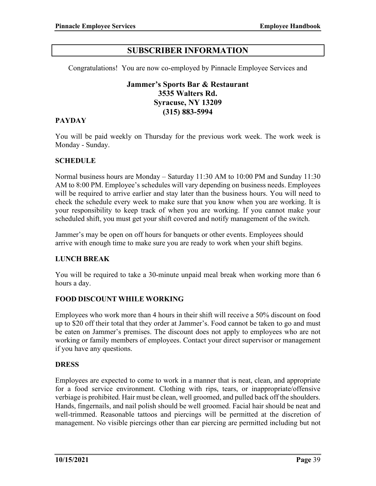## **SUBSCRIBER INFORMATION**

Congratulations! You are now co-employed by Pinnacle Employee Services and

## **Jammer's Sports Bar & Restaurant 3535 Walters Rd. Syracuse, NY 13209 (315) 883-5994**

#### **PAYDAY**

You will be paid weekly on Thursday for the previous work week. The work week is Monday - Sunday.

#### **SCHEDULE**

Normal business hours are Monday – Saturday 11:30 AM to 10:00 PM and Sunday 11:30 AM to 8:00 PM. Employee's schedules will vary depending on business needs. Employees will be required to arrive earlier and stay later than the business hours. You will need to check the schedule every week to make sure that you know when you are working. It is your responsibility to keep track of when you are working. If you cannot make your scheduled shift, you must get your shift covered and notify management of the switch.

Jammer's may be open on off hours for banquets or other events. Employees should arrive with enough time to make sure you are ready to work when your shift begins.

## **LUNCH BREAK**

You will be required to take a 30-minute unpaid meal break when working more than 6 hours a day.

## **FOOD DISCOUNT WHILE WORKING**

Employees who work more than 4 hours in their shift will receive a 50% discount on food up to \$20 off their total that they order at Jammer's. Food cannot be taken to go and must be eaten on Jammer's premises. The discount does not apply to employees who are not working or family members of employees. Contact your direct supervisor or management if you have any questions.

#### **DRESS**

Employees are expected to come to work in a manner that is neat, clean, and appropriate for a food service environment. Clothing with rips, tears, or inappropriate/offensive verbiage is prohibited. Hair must be clean, well groomed, and pulled back off the shoulders. Hands, fingernails, and nail polish should be well groomed. Facial hair should be neat and well-trimmed. Reasonable tattoos and piercings will be permitted at the discretion of management. No visible piercings other than ear piercing are permitted including but not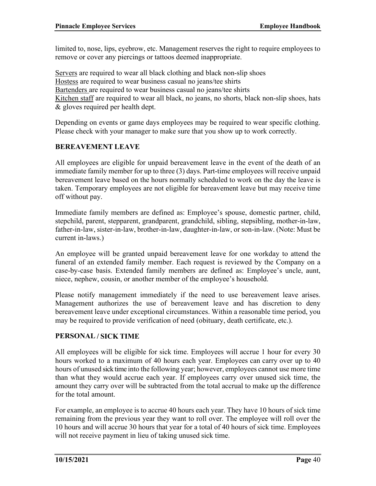limited to, nose, lips, eyebrow, etc. Management reserves the right to require employees to remove or cover any piercings or tattoos deemed inappropriate.

Servers are required to wear all black clothing and black non-slip shoes Hostess are required to wear business casual no jeans/tee shirts Bartenders are required to wear business casual no jeans/tee shirts Kitchen staff are required to wear all black, no jeans, no shorts, black non-slip shoes, hats & gloves required per health dept.

Depending on events or game days employees may be required to wear specific clothing. Please check with your manager to make sure that you show up to work correctly.

## **BEREAVEMENT LEAVE**

All employees are eligible for unpaid bereavement leave in the event of the death of an immediate family member for up to three (3) days. Part-time employees will receive unpaid bereavement leave based on the hours normally scheduled to work on the day the leave is taken. Temporary employees are not eligible for bereavement leave but may receive time off without pay.

Immediate family members are defined as: Employee's spouse, domestic partner, child, stepchild, parent, stepparent, grandparent, grandchild, sibling, stepsibling, mother-in-law, father-in-law, sister-in-law, brother-in-law, daughter-in-law, or son-in-law. (Note: Must be current in-laws.)

An employee will be granted unpaid bereavement leave for one workday to attend the funeral of an extended family member. Each request is reviewed by the Company on a case-by-case basis. Extended family members are defined as: Employee's uncle, aunt, niece, nephew, cousin, or another member of the employee's household.

Please notify management immediately if the need to use bereavement leave arises. Management authorizes the use of bereavement leave and has discretion to deny bereavement leave under exceptional circumstances. Within a reasonable time period, you may be required to provide verification of need (obituary, death certificate, etc.).

## **PERSONAL / SICK TIME**

All employees will be eligible for sick time. Employees will accrue 1 hour for every 30 hours worked to a maximum of 40 hours each year. Employees can carry over up to 40 hours of unused sick time into the following year; however, employees cannot use more time than what they would accrue each year. If employees carry over unused sick time, the amount they carry over will be subtracted from the total accrual to make up the difference for the total amount.

For example, an employee is to accrue 40 hours each year. They have 10 hours of sick time remaining from the previous year they want to roll over. The employee will roll over the 10 hours and will accrue 30 hours that year for a total of 40 hours of sick time. Employees will not receive payment in lieu of taking unused sick time.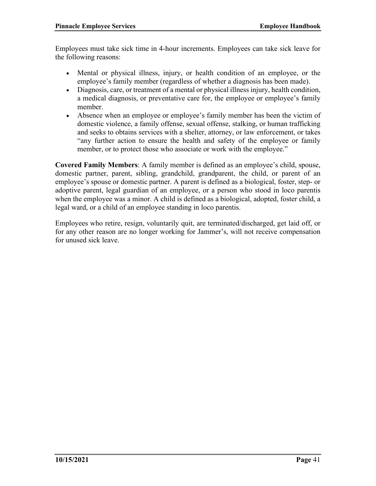Employees must take sick time in 4-hour increments. Employees can take sick leave for the following reasons:

- Mental or physical illness, injury, or health condition of an employee, or the employee's family member (regardless of whether a diagnosis has been made).
- Diagnosis, care, or treatment of a mental or physical illness injury, health condition, a medical diagnosis, or preventative care for, the employee or employee's family member.
- Absence when an employee or employee's family member has been the victim of domestic violence, a family offense, sexual offense, stalking, or human trafficking and seeks to obtains services with a shelter, attorney, or law enforcement, or takes "any further action to ensure the health and safety of the employee or family member, or to protect those who associate or work with the employee."

**Covered Family Members**: A family member is defined as an employee's child, spouse, domestic partner, parent, sibling, grandchild, grandparent, the child, or parent of an employee's spouse or domestic partner. A parent is defined as a biological, foster, step- or adoptive parent, legal guardian of an employee, or a person who stood in loco parentis when the employee was a minor. A child is defined as a biological, adopted, foster child, a legal ward, or a child of an employee standing in loco parentis.

Employees who retire, resign, voluntarily quit, are terminated/discharged, get laid off, or for any other reason are no longer working for Jammer's, will not receive compensation for unused sick leave.